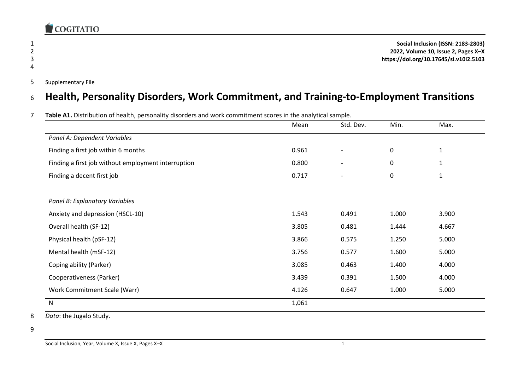

1 **Social Inclusion (ISSN: 2183-2803)** 2 **2022, Volume 10, Issue 2, Pages X–X** 3 **https://doi.org/10.17645/si.v10i2.5103**

5 Supplementary File

#### <sup>6</sup> **Health, Personality Disorders, Work Commitment, and Training-to-Employment Transitions**

|  |  |  | Table A1. Distribution of health, personality disorders and work commitment scores in the analytical sample. |  |
|--|--|--|--------------------------------------------------------------------------------------------------------------|--|
|--|--|--|--------------------------------------------------------------------------------------------------------------|--|

|                                                     | Mean  | Std. Dev.                | Min.      | Max.  |
|-----------------------------------------------------|-------|--------------------------|-----------|-------|
| Panel A: Dependent Variables                        |       |                          |           |       |
| Finding a first job within 6 months                 | 0.961 |                          | $\pmb{0}$ | 1     |
| Finding a first job without employment interruption | 0.800 | $\overline{\phantom{a}}$ | 0         | 1     |
| Finding a decent first job                          | 0.717 | $\overline{\phantom{a}}$ | $\pmb{0}$ | 1     |
|                                                     |       |                          |           |       |
| Panel B: Explanatory Variables                      |       |                          |           |       |
| Anxiety and depression (HSCL-10)                    | 1.543 | 0.491                    | 1.000     | 3.900 |
| Overall health (SF-12)                              | 3.805 | 0.481                    | 1.444     | 4.667 |
| Physical health (pSF-12)                            | 3.866 | 0.575                    | 1.250     | 5.000 |
| Mental health (mSF-12)                              | 3.756 | 0.577                    | 1.600     | 5.000 |
| Coping ability (Parker)                             | 3.085 | 0.463                    | 1.400     | 4.000 |
| Cooperativeness (Parker)                            | 3.439 | 0.391                    | 1.500     | 4.000 |
| Work Commitment Scale (Warr)                        | 4.126 | 0.647                    | 1.000     | 5.000 |
| ${\sf N}$                                           | 1,061 |                          |           |       |

8 *Data*: the Jugalo Study.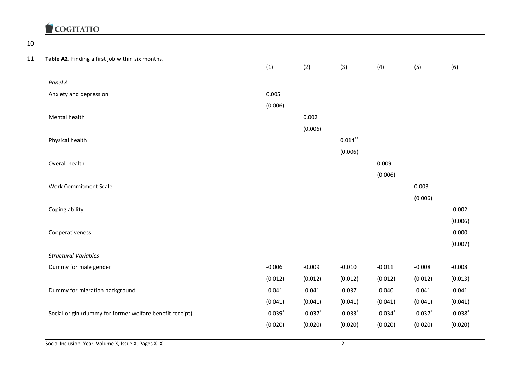

#### 10

#### 11 **Table A2.** Finding a first job within six months.

|                                                          | (1)        | (2)        | (3)                   | (4)        | (5)        | (6)        |
|----------------------------------------------------------|------------|------------|-----------------------|------------|------------|------------|
| Panel A                                                  |            |            |                       |            |            |            |
| Anxiety and depression                                   | 0.005      |            |                       |            |            |            |
|                                                          | (0.006)    |            |                       |            |            |            |
| Mental health                                            |            | 0.002      |                       |            |            |            |
|                                                          |            | (0.006)    |                       |            |            |            |
| Physical health                                          |            |            | $0.014***$            |            |            |            |
|                                                          |            |            | (0.006)               |            |            |            |
| Overall health                                           |            |            |                       | 0.009      |            |            |
|                                                          |            |            |                       | (0.006)    |            |            |
| <b>Work Commitment Scale</b>                             |            |            |                       |            | 0.003      |            |
|                                                          |            |            |                       |            | (0.006)    |            |
| Coping ability                                           |            |            |                       |            |            | $-0.002$   |
|                                                          |            |            |                       |            |            | (0.006)    |
| Cooperativeness                                          |            |            |                       |            |            | $-0.000$   |
|                                                          |            |            |                       |            |            | (0.007)    |
| <b>Structural Variables</b>                              |            |            |                       |            |            |            |
| Dummy for male gender                                    | $-0.006$   | $-0.009$   | $-0.010$              | $-0.011$   | $-0.008$   | $-0.008$   |
|                                                          | (0.012)    | (0.012)    | (0.012)               | (0.012)    | (0.012)    | (0.013)    |
| Dummy for migration background                           | $-0.041$   | $-0.041$   | $-0.037$              | $-0.040$   | $-0.041$   | $-0.041$   |
|                                                          | (0.041)    | (0.041)    | (0.041)               | (0.041)    | (0.041)    | (0.041)    |
| Social origin (dummy for former welfare benefit receipt) | $-0.039$ * | $-0.037$ * | $-0.033$ <sup>*</sup> | $-0.034$ * | $-0.037$ * | $-0.038$ * |
|                                                          | (0.020)    | (0.020)    | (0.020)               | (0.020)    | (0.020)    | (0.020)    |
|                                                          |            |            |                       |            |            |            |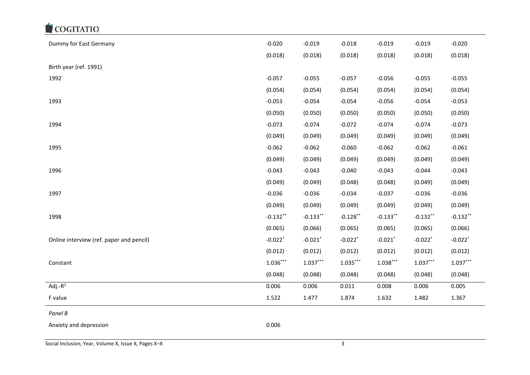| Dummy for East Germany                   | $-0.020$              | $-0.019$              | $-0.018$              | $-0.019$    | $-0.019$              | $-0.020$              |
|------------------------------------------|-----------------------|-----------------------|-----------------------|-------------|-----------------------|-----------------------|
|                                          | (0.018)               | (0.018)               | (0.018)               | (0.018)     | (0.018)               | (0.018)               |
| Birth year (ref. 1991)                   |                       |                       |                       |             |                       |                       |
| 1992                                     | $-0.057$              | $-0.055$              | $-0.057$              | $-0.056$    | $-0.055$              | $-0.055$              |
|                                          | (0.054)               | (0.054)               | (0.054)               | (0.054)     | (0.054)               | (0.054)               |
| 1993                                     | $-0.053$              | $-0.054$              | $-0.054$              | $-0.056$    | $-0.054$              | $-0.053$              |
|                                          | (0.050)               | (0.050)               | (0.050)               | (0.050)     | (0.050)               | (0.050)               |
| 1994                                     | $-0.073$              | $-0.074$              | $-0.072$              | $-0.074$    | $-0.074$              | $-0.073$              |
|                                          | (0.049)               | (0.049)               | (0.049)               | (0.049)     | (0.049)               | (0.049)               |
| 1995                                     | $-0.062$              | $-0.062$              | $-0.060$              | $-0.062$    | $-0.062$              | $-0.061$              |
|                                          | (0.049)               | (0.049)               | (0.049)               | (0.049)     | (0.049)               | (0.049)               |
| 1996                                     | $-0.043$              | $-0.043$              | $-0.040$              | $-0.043$    | $-0.044$              | $-0.043$              |
|                                          | (0.049)               | (0.049)               | (0.048)               | (0.048)     | (0.049)               | (0.049)               |
| 1997                                     | $-0.036$              | $-0.036$              | $-0.034$              | $-0.037$    | $-0.036$              | $-0.036$              |
|                                          | (0.049)               | (0.049)               | (0.049)               | (0.049)     | (0.049)               | (0.049)               |
| 1998                                     | $-0.132**$            | $-0.133***$           | $-0.128$ **           | $-0.133***$ | $-0.132**$            | $-0.132***$           |
|                                          | (0.065)               | (0.066)               | (0.065)               | (0.065)     | (0.065)               | (0.066)               |
| Online interview (ref. paper and pencil) | $-0.022$ <sup>*</sup> | $-0.021$ <sup>*</sup> | $-0.022$ <sup>*</sup> | $-0.021$ *  | $-0.022$ <sup>*</sup> | $-0.022$ <sup>*</sup> |
|                                          | (0.012)               | (0.012)               | (0.012)               | (0.012)     | (0.012)               | (0.012)               |
| Constant                                 | $1.036***$            | $1.037***$            | $1.035***$            | $1.038***$  | $1.037***$            | $1.037***$            |
|                                          | (0.048)               | (0.048)               | (0.048)               | (0.048)     | (0.048)               | (0.048)               |
| Adj.- $\overline{R^2}$                   | 0.006                 | 0.006                 | 0.011                 | 0.008       | 0.006                 | 0.005                 |
| F value                                  | 1.522                 | 1.477                 | 1.874                 | 1.632       | 1.482                 | 1.367                 |
| Panel B                                  |                       |                       |                       |             |                       |                       |
| Anxiety and depression                   | 0.006                 |                       |                       |             |                       |                       |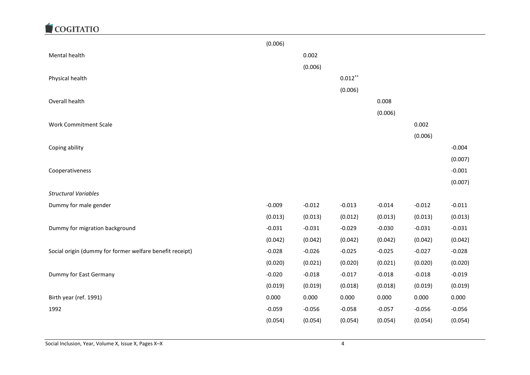

|                                                          | (0.006)  |          |            |          |          |          |
|----------------------------------------------------------|----------|----------|------------|----------|----------|----------|
| Mental health                                            |          | 0.002    |            |          |          |          |
|                                                          |          | (0.006)  |            |          |          |          |
| Physical health                                          |          |          | $0.012***$ |          |          |          |
|                                                          |          |          | (0.006)    |          |          |          |
| Overall health                                           |          |          |            | 0.008    |          |          |
|                                                          |          |          |            | (0.006)  |          |          |
| <b>Work Commitment Scale</b>                             |          |          |            |          | 0.002    |          |
|                                                          |          |          |            |          | (0.006)  |          |
| Coping ability                                           |          |          |            |          |          | $-0.004$ |
|                                                          |          |          |            |          |          | (0.007)  |
| Cooperativeness                                          |          |          |            |          |          | $-0.001$ |
|                                                          |          |          |            |          |          | (0.007)  |
| <b>Structural Variables</b>                              |          |          |            |          |          |          |
| Dummy for male gender                                    | $-0.009$ | $-0.012$ | $-0.013$   | $-0.014$ | $-0.012$ | $-0.011$ |
|                                                          | (0.013)  | (0.013)  | (0.012)    | (0.013)  | (0.013)  | (0.013)  |
| Dummy for migration background                           | $-0.031$ | $-0.031$ | $-0.029$   | $-0.030$ | $-0.031$ | $-0.031$ |
|                                                          | (0.042)  | (0.042)  | (0.042)    | (0.042)  | (0.042)  | (0.042)  |
| Social origin (dummy for former welfare benefit receipt) | $-0.028$ | $-0.026$ | $-0.025$   | $-0.025$ | $-0.027$ | $-0.028$ |
|                                                          | (0.020)  | (0.021)  | (0.020)    | (0.021)  | (0.020)  | (0.020)  |
| Dummy for East Germany                                   | $-0.020$ | $-0.018$ | $-0.017$   | $-0.018$ | $-0.018$ | $-0.019$ |
|                                                          | (0.019)  | (0.019)  | (0.018)    | (0.018)  | (0.019)  | (0.019)  |
| Birth year (ref. 1991)                                   | 0.000    | 0.000    | 0.000      | 0.000    | 0.000    | 0.000    |
| 1992                                                     | $-0.059$ | $-0.056$ | $-0.058$   | $-0.057$ | $-0.056$ | $-0.056$ |
|                                                          | (0.054)  | (0.054)  | (0.054)    | (0.054)  | (0.054)  | (0.054)  |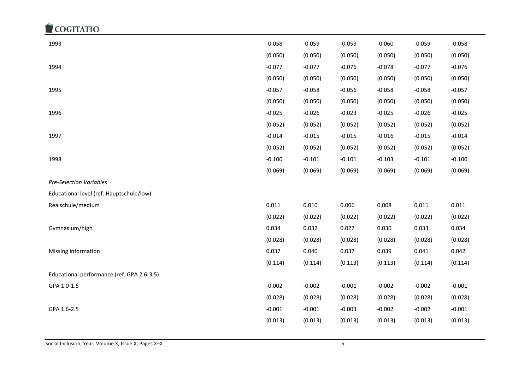| 1993                                       | $-0.058$ | $-0.059$ | $-0.059$ | $-0.060$ | $-0.059$ | $-0.058$ |
|--------------------------------------------|----------|----------|----------|----------|----------|----------|
|                                            | (0.050)  | (0.050)  | (0.050)  | (0.050)  | (0.050)  | (0.050)  |
| 1994                                       | $-0.077$ | $-0.077$ | $-0.076$ | $-0.078$ | $-0.077$ | $-0.076$ |
|                                            | (0.050)  | (0.050)  | (0.050)  | (0.050)  | (0.050)  | (0.050)  |
| 1995                                       | $-0.057$ | $-0.058$ | $-0.056$ | $-0.058$ | $-0.058$ | $-0.057$ |
|                                            | (0.050)  | (0.050)  | (0.050)  | (0.050)  | (0.050)  | (0.050)  |
| 1996                                       | $-0.025$ | $-0.026$ | $-0.023$ | $-0.025$ | $-0.026$ | $-0.025$ |
|                                            | (0.052)  | (0.052)  | (0.052)  | (0.052)  | (0.052)  | (0.052)  |
| 1997                                       | $-0.014$ | $-0.015$ | $-0.015$ | $-0.016$ | $-0.015$ | $-0.014$ |
|                                            | (0.052)  | (0.052)  | (0.052)  | (0.052)  | (0.052)  | (0.052)  |
| 1998                                       | $-0.100$ | $-0.101$ | $-0.101$ | $-0.103$ | $-0.101$ | $-0.100$ |
|                                            | (0.069)  | (0.069)  | (0.069)  | (0.069)  | (0.069)  | (0.069)  |
| <b>Pre-Selection Variables</b>             |          |          |          |          |          |          |
| Educational level (ref. Hauptschule/low)   |          |          |          |          |          |          |
| Realschule/medium                          | 0.011    | 0.010    | 0.006    | 0.008    | 0.011    | 0.011    |
|                                            | (0.022)  | (0.022)  | (0.022)  | (0.022)  | (0.022)  | (0.022)  |
| Gymnasium/high                             | 0.034    | 0.032    | 0.027    | 0.030    | 0.033    | 0.034    |
|                                            | (0.028)  | (0.028)  | (0.028)  | (0.028)  | (0.028)  | (0.028)  |
| Missing information                        | 0.037    | 0.040    | 0.037    | 0.039    | 0.041    | 0.042    |
|                                            | (0.114)  | (0.114)  | (0.113)  | (0.113)  | (0.114)  | (0.114)  |
| Educational performance (ref. GPA 2.6-3.5) |          |          |          |          |          |          |
| GPA 1.0-1.5                                | $-0.002$ | $-0.002$ | $-0.001$ | $-0.002$ | $-0.002$ | $-0.001$ |
|                                            | (0.028)  | (0.028)  | (0.028)  | (0.028)  | (0.028)  | (0.028)  |
| GPA 1.6-2.5                                | $-0.001$ | $-0.001$ | $-0.003$ | $-0.002$ | $-0.002$ | $-0.001$ |
|                                            | (0.013)  | (0.013)  | (0.013)  | (0.013)  | (0.013)  | (0.013)  |
|                                            |          |          |          |          |          |          |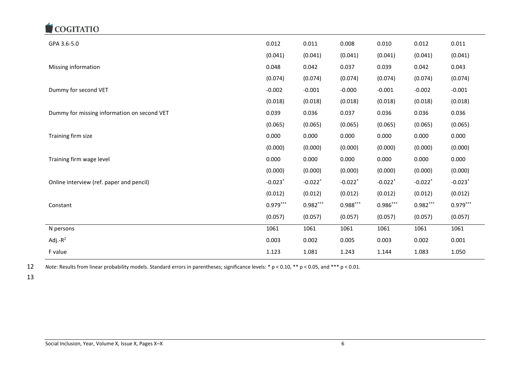| GPA 3.6-5.0                                 | 0.012                 | 0.011                 | 0.008                 | 0.010                 | 0.012                 | 0.011                 |
|---------------------------------------------|-----------------------|-----------------------|-----------------------|-----------------------|-----------------------|-----------------------|
|                                             | (0.041)               | (0.041)               | (0.041)               | (0.041)               | (0.041)               | (0.041)               |
| Missing information                         | 0.048                 | 0.042                 | 0.037                 | 0.039                 | 0.042                 | 0.043                 |
|                                             | (0.074)               | (0.074)               | (0.074)               | (0.074)               | (0.074)               | (0.074)               |
| Dummy for second VET                        | $-0.002$              | $-0.001$              | $-0.000$              | $-0.001$              | $-0.002$              | $-0.001$              |
|                                             | (0.018)               | (0.018)               | (0.018)               | (0.018)               | (0.018)               | (0.018)               |
| Dummy for missing information on second VET | 0.039                 | 0.036                 | 0.037                 | 0.036                 | 0.036                 | 0.036                 |
|                                             | (0.065)               | (0.065)               | (0.065)               | (0.065)               | (0.065)               | (0.065)               |
| Training firm size                          | 0.000                 | 0.000                 | 0.000                 | 0.000                 | 0.000                 | 0.000                 |
|                                             | (0.000)               | (0.000)               | (0.000)               | (0.000)               | (0.000)               | (0.000)               |
| Training firm wage level                    | 0.000                 | 0.000                 | 0.000                 | 0.000                 | 0.000                 | 0.000                 |
|                                             | (0.000)               | (0.000)               | (0.000)               | (0.000)               | (0.000)               | (0.000)               |
| Online interview (ref. paper and pencil)    | $-0.023$ <sup>*</sup> | $-0.022$ <sup>*</sup> | $-0.022$ <sup>*</sup> | $-0.022$ <sup>*</sup> | $-0.022$ <sup>*</sup> | $-0.023$ <sup>*</sup> |
|                                             | (0.012)               | (0.012)               | (0.012)               | (0.012)               | (0.012)               | (0.012)               |
| Constant                                    | $0.979***$            | $0.982***$            | $0.988***$            | $0.986***$            | $0.982***$            | $0.979***$            |
|                                             | (0.057)               | (0.057)               | (0.057)               | (0.057)               | (0.057)               | (0.057)               |
| N persons                                   | 1061                  | 1061                  | 1061                  | 1061                  | 1061                  | 1061                  |
| Adj.- $R^2$                                 | 0.003                 | 0.002                 | 0.005                 | 0.003                 | 0.002                 | 0.001                 |
| F value                                     | 1.123                 | 1.081                 | 1.243                 | 1.144                 | 1.083                 | 1.050                 |

12 *Note*: Results from linear probability models. Standard errors in parentheses; significance levels: \* p < 0.10, \*\* p < 0.05, and \*\*\* p < 0.01.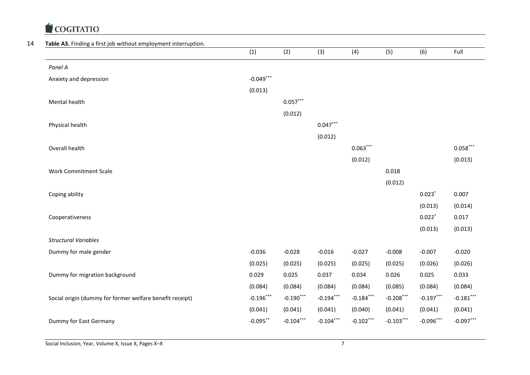

#### 14 **Table A3.** Finding a first job without employment interruption.

| <b>rable A3.</b> Finality a first job without employment interruption. | (1)         | (2)         | (3)         | (4)         | (5)         | (6)         | Full        |
|------------------------------------------------------------------------|-------------|-------------|-------------|-------------|-------------|-------------|-------------|
| Panel A                                                                |             |             |             |             |             |             |             |
| Anxiety and depression                                                 | $-0.049***$ |             |             |             |             |             |             |
|                                                                        | (0.013)     |             |             |             |             |             |             |
| Mental health                                                          |             | $0.057***$  |             |             |             |             |             |
|                                                                        |             | (0.012)     |             |             |             |             |             |
| Physical health                                                        |             |             | $0.047***$  |             |             |             |             |
|                                                                        |             |             | (0.012)     |             |             |             |             |
| Overall health                                                         |             |             |             | $0.063***$  |             |             | $0.058***$  |
|                                                                        |             |             |             | (0.012)     |             |             | (0.013)     |
| <b>Work Commitment Scale</b>                                           |             |             |             |             | 0.018       |             |             |
|                                                                        |             |             |             |             | (0.012)     |             |             |
| Coping ability                                                         |             |             |             |             |             | 0.023       | 0.007       |
|                                                                        |             |             |             |             |             | (0.013)     | (0.014)     |
| Cooperativeness                                                        |             |             |             |             |             | $0.022*$    | 0.017       |
|                                                                        |             |             |             |             |             | (0.013)     | (0.013)     |
| <b>Structural Variables</b>                                            |             |             |             |             |             |             |             |
| Dummy for male gender                                                  | $-0.036$    | $-0.028$    | $-0.016$    | $-0.027$    | $-0.008$    | $-0.007$    | $-0.020$    |
|                                                                        | (0.025)     | (0.025)     | (0.025)     | (0.025)     | (0.025)     | (0.026)     | (0.026)     |
| Dummy for migration background                                         | 0.029       | 0.025       | 0.037       | 0.034       | 0.026       | 0.025       | 0.033       |
|                                                                        | (0.084)     | (0.084)     | (0.084)     | (0.084)     | (0.085)     | (0.084)     | (0.084)     |
| Social origin (dummy for former welfare benefit receipt)               | $-0.196***$ | $-0.190***$ | $-0.194***$ | $-0.184***$ | $-0.208***$ | $-0.197***$ | $-0.181***$ |
|                                                                        | (0.041)     | (0.041)     | (0.041)     | (0.040)     | (0.041)     | (0.041)     | (0.041)     |
| Dummy for East Germany                                                 | $-0.095***$ | $-0.104***$ | $-0.104***$ | $-0.102***$ | $-0.103***$ | $-0.096***$ | $-0.097***$ |
|                                                                        |             |             |             |             |             |             |             |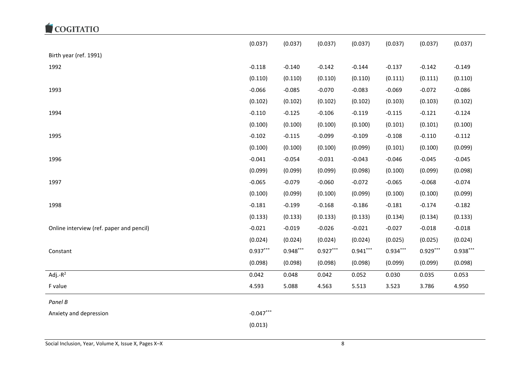|                                          | (0.037)     | (0.037)    | (0.037)    | (0.037)    | (0.037)    | (0.037)    | (0.037)    |
|------------------------------------------|-------------|------------|------------|------------|------------|------------|------------|
| Birth year (ref. 1991)                   |             |            |            |            |            |            |            |
| 1992                                     | $-0.118$    | $-0.140$   | $-0.142$   | $-0.144$   | $-0.137$   | $-0.142$   | $-0.149$   |
|                                          | (0.110)     | (0.110)    | (0.110)    | (0.110)    | (0.111)    | (0.111)    | (0.110)    |
| 1993                                     | $-0.066$    | $-0.085$   | $-0.070$   | $-0.083$   | $-0.069$   | $-0.072$   | $-0.086$   |
|                                          | (0.102)     | (0.102)    | (0.102)    | (0.102)    | (0.103)    | (0.103)    | (0.102)    |
| 1994                                     | $-0.110$    | $-0.125$   | $-0.106$   | $-0.119$   | $-0.115$   | $-0.121$   | $-0.124$   |
|                                          | (0.100)     | (0.100)    | (0.100)    | (0.100)    | (0.101)    | (0.101)    | (0.100)    |
| 1995                                     | $-0.102$    | $-0.115$   | $-0.099$   | $-0.109$   | $-0.108$   | $-0.110$   | $-0.112$   |
|                                          | (0.100)     | (0.100)    | (0.100)    | (0.099)    | (0.101)    | (0.100)    | (0.099)    |
| 1996                                     | $-0.041$    | $-0.054$   | $-0.031$   | $-0.043$   | $-0.046$   | $-0.045$   | $-0.045$   |
|                                          | (0.099)     | (0.099)    | (0.099)    | (0.098)    | (0.100)    | (0.099)    | (0.098)    |
| 1997                                     | $-0.065$    | $-0.079$   | $-0.060$   | $-0.072$   | $-0.065$   | $-0.068$   | $-0.074$   |
|                                          | (0.100)     | (0.099)    | (0.100)    | (0.099)    | (0.100)    | (0.100)    | (0.099)    |
| 1998                                     | $-0.181$    | $-0.199$   | $-0.168$   | $-0.186$   | $-0.181$   | $-0.174$   | $-0.182$   |
|                                          | (0.133)     | (0.133)    | (0.133)    | (0.133)    | (0.134)    | (0.134)    | (0.133)    |
| Online interview (ref. paper and pencil) | $-0.021$    | $-0.019$   | $-0.026$   | $-0.021$   | $-0.027$   | $-0.018$   | $-0.018$   |
|                                          | (0.024)     | (0.024)    | (0.024)    | (0.024)    | (0.025)    | (0.025)    | (0.024)    |
| Constant                                 | $0.937***$  | $0.948***$ | $0.927***$ | $0.941***$ | $0.934***$ | $0.929***$ | $0.938***$ |
|                                          | (0.098)     | (0.098)    | (0.098)    | (0.098)    | (0.099)    | (0.099)    | (0.098)    |
| Adj.- $R^2$                              | 0.042       | 0.048      | 0.042      | 0.052      | 0.030      | 0.035      | 0.053      |
| F value                                  | 4.593       | 5.088      | 4.563      | 5.513      | 3.523      | 3.786      | 4.950      |
| Panel B                                  |             |            |            |            |            |            |            |
| Anxiety and depression                   | $-0.047***$ |            |            |            |            |            |            |
|                                          | (0.013)     |            |            |            |            |            |            |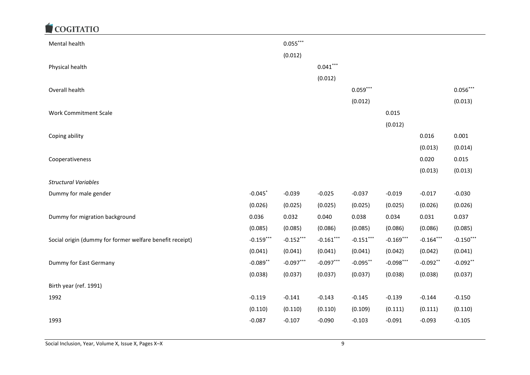| Mental health                                            |             | $0.055***$  |             |             |             |             |             |
|----------------------------------------------------------|-------------|-------------|-------------|-------------|-------------|-------------|-------------|
|                                                          |             | (0.012)     |             |             |             |             |             |
| Physical health                                          |             |             | $0.041***$  |             |             |             |             |
|                                                          |             |             | (0.012)     |             |             |             |             |
| Overall health                                           |             |             |             | $0.059***$  |             |             | $0.056***$  |
|                                                          |             |             |             | (0.012)     |             |             | (0.013)     |
| <b>Work Commitment Scale</b>                             |             |             |             |             | 0.015       |             |             |
|                                                          |             |             |             |             | (0.012)     |             |             |
| Coping ability                                           |             |             |             |             |             | 0.016       | 0.001       |
|                                                          |             |             |             |             |             | (0.013)     | (0.014)     |
| Cooperativeness                                          |             |             |             |             |             | 0.020       | 0.015       |
|                                                          |             |             |             |             |             | (0.013)     | (0.013)     |
| <b>Structural Variables</b>                              |             |             |             |             |             |             |             |
| Dummy for male gender                                    | $-0.045$    | $-0.039$    | $-0.025$    | $-0.037$    | $-0.019$    | $-0.017$    | $-0.030$    |
|                                                          | (0.026)     | (0.025)     | (0.025)     | (0.025)     | (0.025)     | (0.026)     | (0.026)     |
| Dummy for migration background                           | 0.036       | 0.032       | 0.040       | 0.038       | 0.034       | 0.031       | 0.037       |
|                                                          | (0.085)     | (0.085)     | (0.086)     | (0.085)     | (0.086)     | (0.086)     | (0.085)     |
| Social origin (dummy for former welfare benefit receipt) | $-0.159***$ | $-0.152***$ | $-0.161***$ | $-0.151***$ | $-0.169***$ | $-0.164***$ | $-0.150***$ |
|                                                          | (0.041)     | (0.041)     | (0.041)     | (0.041)     | (0.042)     | (0.042)     | (0.041)     |
| Dummy for East Germany                                   | $-0.089**$  | $-0.097***$ | $-0.097***$ | $-0.095***$ | $-0.098***$ | $-0.092**$  | $-0.092**$  |
|                                                          | (0.038)     | (0.037)     | (0.037)     | (0.037)     | (0.038)     | (0.038)     | (0.037)     |
| Birth year (ref. 1991)                                   |             |             |             |             |             |             |             |
| 1992                                                     | $-0.119$    | $-0.141$    | $-0.143$    | $-0.145$    | $-0.139$    | $-0.144$    | $-0.150$    |
|                                                          | (0.110)     | (0.110)     | (0.110)     | (0.109)     | (0.111)     | (0.111)     | (0.110)     |
| 1993                                                     | $-0.087$    | $-0.107$    | $-0.090$    | $-0.103$    | $-0.091$    | $-0.093$    | $-0.105$    |
|                                                          |             |             |             |             |             |             |             |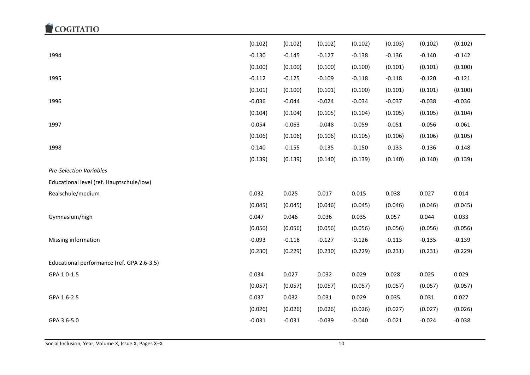#### COGITATIO (0.102) (0.102) (0.102) (0.102) (0.103) (0.102) (0.102) 1994 -0.130 -0.145 -0.127 -0.138 -0.136 -0.140 -0.142 (0.100) (0.100) (0.100) (0.100) (0.101) (0.101) (0.100) 1995 -0.112 -0.125 -0.109 -0.118 -0.118 -0.120 -0.121 (0.101) (0.100) (0.101) (0.100) (0.101) (0.101) (0.100) 1996 -0.036 -0.044 -0.024 -0.034 -0.037 -0.038 -0.036 (0.104) (0.104) (0.105) (0.104) (0.105) (0.105) (0.104) 1997 -0.054 -0.063 -0.048 -0.059 -0.051 -0.056 -0.061 (0.106) (0.106) (0.106) (0.105) (0.106) (0.106) (0.105) 1998 -0.140 -0.155 -0.135 -0.150 -0.133 -0.136 -0.148 (0.139) (0.139) (0.140) (0.139) (0.140) (0.140) (0.139) *Pre-Selection Variables* Educational level (ref. Hauptschule/low) Realschule/medium 0.032 0.025 0.017 0.015 0.038 0.027 0.014 (0.045) (0.045) (0.046) (0.045) (0.046) (0.046) (0.045) Gymnasium/high 0.047 0.046 0.036 0.035 0.057 0.044 0.033 (0.056) (0.056) (0.056) (0.056) (0.056) (0.056) (0.056) Missing information -0.125 -0.139 -0.127 -0.127 -0.126 -0.113 -0.125 -0.139 -0.139 (0.230) (0.229) (0.230) (0.229) (0.231) (0.231) (0.229) Educational performance (ref. GPA 2.6-3.5) GPA 1.0-1.5 0.034 0.027 0.032 0.029 0.028 0.025 0.029 (0.057) (0.057) (0.057) (0.057) (0.057) (0.057) (0.057) GPA 1.6-2.5 0.037 0.032 0.031 0.029 0.035 0.031 0.027 (0.026) (0.026) (0.026) (0.026) (0.027) (0.027) (0.026) GPA 3.6-5.0 -0.031 -0.031 -0.039 -0.040 -0.021 -0.024 -0.038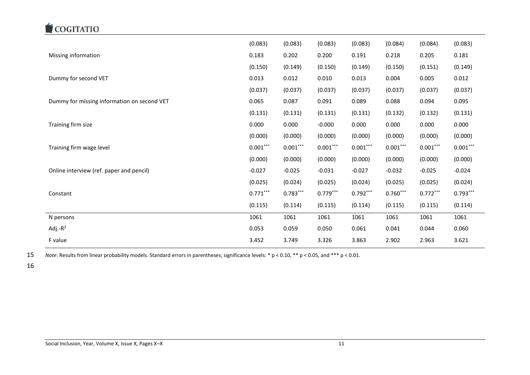

|                                             | (0.083)    | (0.083)    | (0.083)    | (0.083)    | (0.084)    | (0.084)    | (0.083)    |
|---------------------------------------------|------------|------------|------------|------------|------------|------------|------------|
| Missing information                         | 0.183      | 0.202      | 0.200      | 0.191      | 0.218      | 0.205      | 0.181      |
|                                             | (0.150)    | (0.149)    | (0.150)    | (0.149)    | (0.150)    | (0.151)    | (0.149)    |
| Dummy for second VET                        | 0.013      | 0.012      | 0.010      | 0.013      | 0.004      | 0.005      | 0.012      |
|                                             | (0.037)    | (0.037)    | (0.037)    | (0.037)    | (0.037)    | (0.037)    | (0.037)    |
| Dummy for missing information on second VET | 0.065      | 0.087      | 0.091      | 0.089      | 0.088      | 0.094      | 0.095      |
|                                             | (0.131)    | (0.131)    | (0.131)    | (0.131)    | (0.132)    | (0.132)    | (0.131)    |
| Training firm size                          | 0.000      | 0.000      | $-0.000$   | 0.000      | 0.000      | 0.000      | 0.000      |
|                                             | (0.000)    | (0.000)    | (0.000)    | (0.000)    | (0.000)    | (0.000)    | (0.000)    |
| Training firm wage level                    | $0.001***$ | $0.001***$ | $0.001***$ | $0.001***$ | $0.001***$ | $0.001***$ | $0.001***$ |
|                                             | (0.000)    | (0.000)    | (0.000)    | (0.000)    | (0.000)    | (0.000)    | (0.000)    |
| Online interview (ref. paper and pencil)    | $-0.027$   | $-0.025$   | $-0.031$   | $-0.027$   | $-0.032$   | $-0.025$   | $-0.024$   |
|                                             | (0.025)    | (0.024)    | (0.025)    | (0.024)    | (0.025)    | (0.025)    | (0.024)    |
| Constant                                    | $0.771***$ | $0.783***$ | $0.779***$ | $0.792***$ | $0.760***$ | $0.772***$ | $0.793***$ |
|                                             | (0.115)    | (0.114)    | (0.115)    | (0.114)    | (0.115)    | (0.115)    | (0.114)    |
| N persons                                   | 1061       | 1061       | 1061       | 1061       | 1061       | 1061       | 1061       |
| Adj.- $R^2$                                 | 0.053      | 0.059      | 0.050      | 0.061      | 0.041      | 0.044      | 0.060      |
| F value                                     | 3.452      | 3.749      | 3.326      | 3.863      | 2.902      | 2.963      | 3.621      |

15 *Note*: Results from linear probability models. Standard errors in parentheses; significance levels: \* p < 0.10, \*\* p < 0.05, and \*\*\* p < 0.01.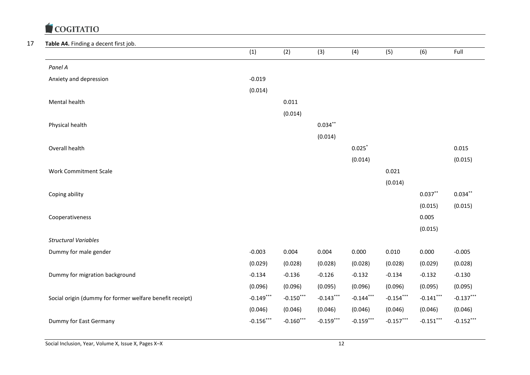#### 17 **Table A4.** Finding a decent first job.

| <b>Table A4.</b> Finding a decent first job.             | (1)         | (2)         | (3)         | (4)         | (5)         | (6)         | Full        |
|----------------------------------------------------------|-------------|-------------|-------------|-------------|-------------|-------------|-------------|
| Panel A                                                  |             |             |             |             |             |             |             |
| Anxiety and depression                                   | $-0.019$    |             |             |             |             |             |             |
|                                                          | (0.014)     |             |             |             |             |             |             |
| Mental health                                            |             | 0.011       |             |             |             |             |             |
|                                                          |             | (0.014)     |             |             |             |             |             |
| Physical health                                          |             |             | $0.034***$  |             |             |             |             |
|                                                          |             |             | (0.014)     |             |             |             |             |
| Overall health                                           |             |             |             | $0.025$ *   |             |             | 0.015       |
|                                                          |             |             |             | (0.014)     |             |             | (0.015)     |
| <b>Work Commitment Scale</b>                             |             |             |             |             | 0.021       |             |             |
|                                                          |             |             |             |             | (0.014)     |             |             |
| Coping ability                                           |             |             |             |             |             | $0.037***$  | $0.034***$  |
|                                                          |             |             |             |             |             | (0.015)     | (0.015)     |
| Cooperativeness                                          |             |             |             |             |             | 0.005       |             |
|                                                          |             |             |             |             |             | (0.015)     |             |
| <b>Structural Variables</b>                              |             |             |             |             |             |             |             |
| Dummy for male gender                                    | $-0.003$    | 0.004       | 0.004       | 0.000       | 0.010       | 0.000       | $-0.005$    |
|                                                          | (0.029)     | (0.028)     | (0.028)     | (0.028)     | (0.028)     | (0.029)     | (0.028)     |
| Dummy for migration background                           | $-0.134$    | $-0.136$    | $-0.126$    | $-0.132$    | $-0.134$    | $-0.132$    | $-0.130$    |
|                                                          | (0.096)     | (0.096)     | (0.095)     | (0.096)     | (0.096)     | (0.095)     | (0.095)     |
| Social origin (dummy for former welfare benefit receipt) | $-0.149***$ | $-0.150***$ | $-0.143***$ | $-0.144***$ | $-0.154***$ | $-0.141***$ | $-0.137***$ |
|                                                          | (0.046)     | (0.046)     | (0.046)     | (0.046)     | (0.046)     | (0.046)     | (0.046)     |
| Dummy for East Germany                                   | $-0.156***$ | $-0.160***$ | $-0.159***$ | $-0.159***$ | $-0.157***$ | $-0.151***$ | $-0.152***$ |
|                                                          |             |             |             |             |             |             |             |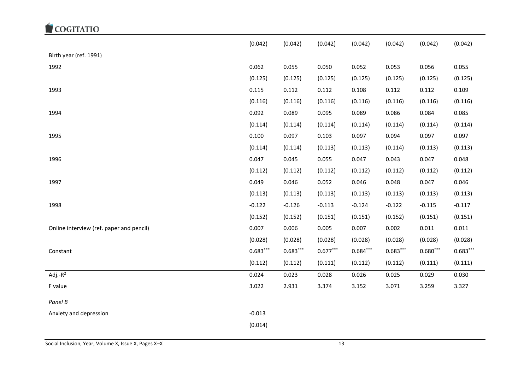|                                          | (0.042)    | (0.042)    | (0.042)    | (0.042)    | (0.042)    | (0.042)    | (0.042)    |
|------------------------------------------|------------|------------|------------|------------|------------|------------|------------|
| Birth year (ref. 1991)                   |            |            |            |            |            |            |            |
| 1992                                     | 0.062      | 0.055      | 0.050      | 0.052      | 0.053      | 0.056      | 0.055      |
|                                          | (0.125)    | (0.125)    | (0.125)    | (0.125)    | (0.125)    | (0.125)    | (0.125)    |
| 1993                                     | 0.115      | 0.112      | 0.112      | 0.108      | 0.112      | 0.112      | 0.109      |
|                                          | (0.116)    | (0.116)    | (0.116)    | (0.116)    | (0.116)    | (0.116)    | (0.116)    |
| 1994                                     | 0.092      | 0.089      | 0.095      | 0.089      | 0.086      | 0.084      | 0.085      |
|                                          | (0.114)    | (0.114)    | (0.114)    | (0.114)    | (0.114)    | (0.114)    | (0.114)    |
| 1995                                     | 0.100      | 0.097      | 0.103      | 0.097      | 0.094      | 0.097      | 0.097      |
|                                          | (0.114)    | (0.114)    | (0.113)    | (0.113)    | (0.114)    | (0.113)    | (0.113)    |
| 1996                                     | 0.047      | 0.045      | 0.055      | 0.047      | 0.043      | 0.047      | 0.048      |
|                                          | (0.112)    | (0.112)    | (0.112)    | (0.112)    | (0.112)    | (0.112)    | (0.112)    |
| 1997                                     | 0.049      | 0.046      | 0.052      | 0.046      | 0.048      | 0.047      | 0.046      |
|                                          | (0.113)    | (0.113)    | (0.113)    | (0.113)    | (0.113)    | (0.113)    | (0.113)    |
| 1998                                     | $-0.122$   | $-0.126$   | $-0.113$   | $-0.124$   | $-0.122$   | $-0.115$   | $-0.117$   |
|                                          | (0.152)    | (0.152)    | (0.151)    | (0.151)    | (0.152)    | (0.151)    | (0.151)    |
| Online interview (ref. paper and pencil) | 0.007      | 0.006      | 0.005      | 0.007      | 0.002      | 0.011      | 0.011      |
|                                          | (0.028)    | (0.028)    | (0.028)    | (0.028)    | (0.028)    | (0.028)    | (0.028)    |
| Constant                                 | $0.683***$ | $0.683***$ | $0.677***$ | $0.684***$ | $0.683***$ | $0.680***$ | $0.683***$ |
|                                          | (0.112)    | (0.112)    | (0.111)    | (0.112)    | (0.112)    | (0.111)    | (0.111)    |
| Adj.- $R^2$                              | 0.024      | 0.023      | 0.028      | 0.026      | 0.025      | 0.029      | 0.030      |
| F value                                  | 3.022      | 2.931      | 3.374      | 3.152      | 3.071      | 3.259      | 3.327      |
| Panel B                                  |            |            |            |            |            |            |            |
| Anxiety and depression                   | $-0.013$   |            |            |            |            |            |            |
|                                          | (0.014)    |            |            |            |            |            |            |
|                                          |            |            |            |            |            |            |            |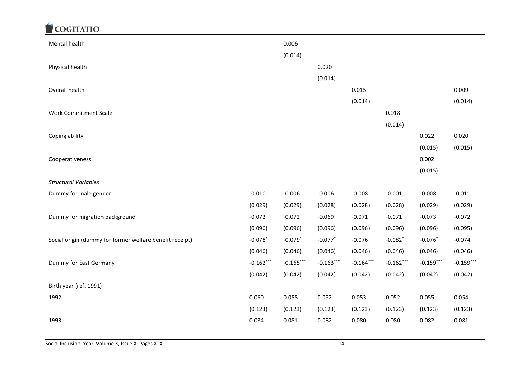| Mental health                                            |             | 0.006       |             |             |             |             |             |
|----------------------------------------------------------|-------------|-------------|-------------|-------------|-------------|-------------|-------------|
|                                                          |             | (0.014)     |             |             |             |             |             |
| Physical health                                          |             |             | 0.020       |             |             |             |             |
|                                                          |             |             | (0.014)     |             |             |             |             |
| Overall health                                           |             |             |             | 0.015       |             |             | 0.009       |
|                                                          |             |             |             | (0.014)     |             |             | (0.014)     |
| <b>Work Commitment Scale</b>                             |             |             |             |             | 0.018       |             |             |
|                                                          |             |             |             |             | (0.014)     |             |             |
| Coping ability                                           |             |             |             |             |             | 0.022       | 0.020       |
|                                                          |             |             |             |             |             | (0.015)     | (0.015)     |
| Cooperativeness                                          |             |             |             |             |             | 0.002       |             |
|                                                          |             |             |             |             |             | (0.015)     |             |
| <b>Structural Variables</b>                              |             |             |             |             |             |             |             |
| Dummy for male gender                                    | $-0.010$    | $-0.006$    | $-0.006$    | $-0.008$    | $-0.001$    | $-0.008$    | $-0.011$    |
|                                                          | (0.029)     | (0.029)     | (0.028)     | (0.028)     | (0.028)     | (0.029)     | (0.029)     |
| Dummy for migration background                           | $-0.072$    | $-0.072$    | $-0.069$    | $-0.071$    | $-0.071$    | $-0.073$    | $-0.072$    |
|                                                          | (0.096)     | (0.096)     | (0.096)     | (0.096)     | (0.096)     | (0.096)     | (0.095)     |
| Social origin (dummy for former welfare benefit receipt) | $-0.078$ *  | $-0.079$ *  | $-0.077$ *  | $-0.076$    | $-0.082$ *  | $-0.076$    | $-0.074$    |
|                                                          | (0.046)     | (0.046)     | (0.046)     | (0.046)     | (0.046)     | (0.046)     | (0.046)     |
| Dummy for East Germany                                   | $-0.162***$ | $-0.165***$ | $-0.163***$ | $-0.164***$ | $-0.162***$ | $-0.159***$ | $-0.159***$ |
|                                                          | (0.042)     | (0.042)     | (0.042)     | (0.042)     | (0.042)     | (0.042)     | (0.042)     |
| Birth year (ref. 1991)                                   |             |             |             |             |             |             |             |
| 1992                                                     | 0.060       | 0.055       | 0.052       | 0.053       | 0.052       | 0.055       | 0.054       |
|                                                          | (0.123)     | (0.123)     | (0.123)     | (0.123)     | (0.123)     | (0.123)     | (0.123)     |
| 1993                                                     | 0.084       | 0.081       | 0.082       | 0.080       | 0.080       | 0.082       | 0.081       |
|                                                          |             |             |             |             |             |             |             |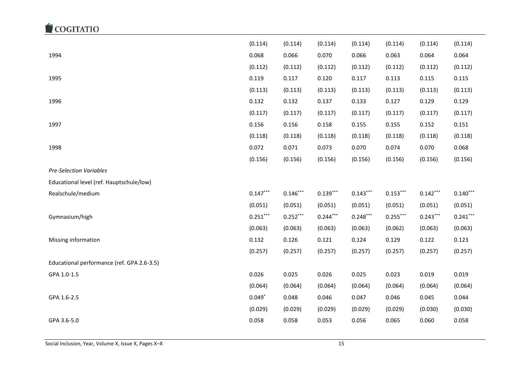|                                            | (0.114)    | (0.114)    | (0.114)    | (0.114)    | (0.114)    | (0.114)    | (0.114)    |
|--------------------------------------------|------------|------------|------------|------------|------------|------------|------------|
| 1994                                       | 0.068      | 0.066      | 0.070      | 0.066      | 0.063      | 0.064      | 0.064      |
|                                            | (0.112)    | (0.112)    | (0.112)    | (0.112)    | (0.112)    | (0.112)    | (0.112)    |
| 1995                                       | 0.119      | 0.117      | 0.120      | 0.117      | 0.113      | 0.115      | 0.115      |
|                                            | (0.113)    | (0.113)    | (0.113)    | (0.113)    | (0.113)    | (0.113)    | (0.113)    |
| 1996                                       | 0.132      | 0.132      | 0.137      | 0.133      | 0.127      | 0.129      | 0.129      |
|                                            | (0.117)    | (0.117)    | (0.117)    | (0.117)    | (0.117)    | (0.117)    | (0.117)    |
| 1997                                       | 0.156      | 0.156      | 0.158      | 0.155      | 0.155      | 0.152      | 0.151      |
|                                            | (0.118)    | (0.118)    | (0.118)    | (0.118)    | (0.118)    | (0.118)    | (0.118)    |
| 1998                                       | 0.072      | 0.071      | 0.073      | 0.070      | 0.074      | 0.070      | 0.068      |
|                                            | (0.156)    | (0.156)    | (0.156)    | (0.156)    | (0.156)    | (0.156)    | (0.156)    |
| <b>Pre-Selection Variables</b>             |            |            |            |            |            |            |            |
| Educational level (ref. Hauptschule/low)   |            |            |            |            |            |            |            |
| Realschule/medium                          | $0.147***$ | $0.146***$ | $0.139***$ | $0.143***$ | $0.153***$ | $0.142***$ | $0.140***$ |
|                                            | (0.051)    | (0.051)    | (0.051)    | (0.051)    | (0.051)    | (0.051)    | (0.051)    |
| Gymnasium/high                             | $0.251***$ | $0.252***$ | $0.244***$ | $0.248***$ | $0.255***$ | $0.243***$ | $0.241***$ |
|                                            | (0.063)    | (0.063)    | (0.063)    | (0.063)    | (0.062)    | (0.063)    | (0.063)    |
| Missing information                        | 0.132      | 0.126      | 0.121      | 0.124      | 0.129      | 0.122      | 0.123      |
|                                            | (0.257)    | (0.257)    | (0.257)    | (0.257)    | (0.257)    | (0.257)    | (0.257)    |
| Educational performance (ref. GPA 2.6-3.5) |            |            |            |            |            |            |            |
| GPA 1.0-1.5                                | 0.026      | 0.025      | 0.026      | 0.025      | 0.023      | 0.019      | 0.019      |
|                                            | (0.064)    | (0.064)    | (0.064)    | (0.064)    | (0.064)    | (0.064)    | (0.064)    |
| GPA 1.6-2.5                                | $0.049*$   | 0.048      | 0.046      | 0.047      | 0.046      | 0.045      | 0.044      |
|                                            | (0.029)    | (0.029)    | (0.029)    | (0.029)    | (0.029)    | (0.030)    | (0.030)    |
| GPA 3.6-5.0                                | 0.058      | 0.058      | 0.053      | 0.056      | 0.065      | 0.060      | 0.058      |
|                                            |            |            |            |            |            |            |            |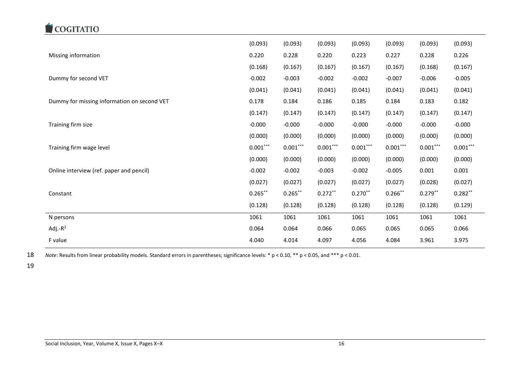

|                                             | (0.093)    | (0.093)    | (0.093)    | (0.093)                 | (0.093)    | (0.093)    | (0.093)    |
|---------------------------------------------|------------|------------|------------|-------------------------|------------|------------|------------|
| Missing information                         | 0.220      | 0.228      | 0.220      | 0.223                   | 0.227      | 0.228      | 0.226      |
|                                             | (0.168)    | (0.167)    | (0.167)    | (0.167)                 | (0.167)    | (0.168)    | (0.167)    |
| Dummy for second VET                        | $-0.002$   | $-0.003$   | $-0.002$   | $-0.002$                | $-0.007$   | $-0.006$   | $-0.005$   |
|                                             | (0.041)    | (0.041)    | (0.041)    | (0.041)                 | (0.041)    | (0.041)    | (0.041)    |
| Dummy for missing information on second VET | 0.178      | 0.184      | 0.186      | 0.185                   | 0.184      | 0.183      | 0.182      |
|                                             | (0.147)    | (0.147)    | (0.147)    | (0.147)                 | (0.147)    | (0.147)    | (0.147)    |
| Training firm size                          | $-0.000$   | $-0.000$   | $-0.000$   | $-0.000$                | $-0.000$   | $-0.000$   | $-0.000$   |
|                                             | (0.000)    | (0.000)    | (0.000)    | (0.000)                 | (0.000)    | (0.000)    | (0.000)    |
| Training firm wage level                    | $0.001***$ | $0.001***$ | $0.001***$ | $0.001\overset{***}{ }$ | $0.001***$ | $0.001***$ | $0.001***$ |
|                                             | (0.000)    | (0.000)    | (0.000)    | (0.000)                 | (0.000)    | (0.000)    | (0.000)    |
| Online interview (ref. paper and pencil)    | $-0.002$   | $-0.002$   | $-0.003$   | $-0.002$                | $-0.005$   | 0.001      | 0.001      |
|                                             | (0.027)    | (0.027)    | (0.027)    | (0.027)                 | (0.027)    | (0.028)    | (0.027)    |
| Constant                                    | $0.265***$ | $0.265***$ | $0.272***$ | $0.270***$              | $0.266***$ | $0.279***$ | $0.282***$ |
|                                             | (0.128)    | (0.128)    | (0.128)    | (0.128)                 | (0.128)    | (0.128)    | (0.129)    |
| N persons                                   | 1061       | 1061       | 1061       | 1061                    | 1061       | 1061       | 1061       |
| Adj.- $R^2$                                 |            | 0.064      | 0.066      | 0.065                   | 0.065      | 0.065      | 0.066      |
|                                             | 0.064      |            |            |                         |            |            |            |

18 *Note*: Results from linear probability models. Standard errors in parentheses; significance levels: \* p < 0.10, \*\* p < 0.05, and \*\*\* p < 0.01.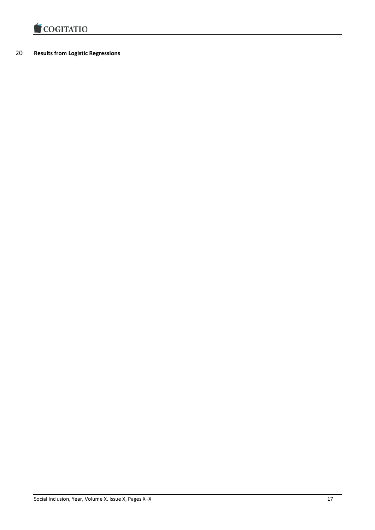

#### 20 **Results from Logistic Regressions**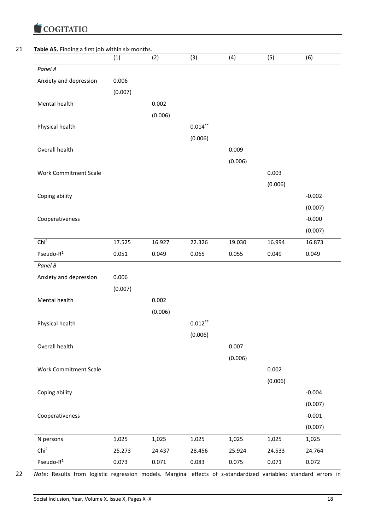|                              | (1)     | (2)     | (3)        | (4)     | (5)     | (6)      |
|------------------------------|---------|---------|------------|---------|---------|----------|
| Panel A                      |         |         |            |         |         |          |
| Anxiety and depression       | 0.006   |         |            |         |         |          |
|                              | (0.007) |         |            |         |         |          |
| Mental health                |         | 0.002   |            |         |         |          |
|                              |         | (0.006) |            |         |         |          |
| Physical health              |         |         | $0.014***$ |         |         |          |
|                              |         |         | (0.006)    |         |         |          |
| Overall health               |         |         |            | 0.009   |         |          |
|                              |         |         |            | (0.006) |         |          |
|                              |         |         |            |         |         |          |
| <b>Work Commitment Scale</b> |         |         |            |         | 0.003   |          |
|                              |         |         |            |         | (0.006) |          |
| Coping ability               |         |         |            |         |         | $-0.002$ |
|                              |         |         |            |         |         | (0.007)  |
| Cooperativeness              |         |         |            |         |         | $-0.000$ |
|                              |         |         |            |         |         | (0.007)  |
| Chi <sup>2</sup>             | 17.525  | 16.927  | 22.326     | 19.030  | 16.994  | 16.873   |
| Pseudo-R <sup>2</sup>        | 0.051   | 0.049   | 0.065      | 0.055   | 0.049   | 0.049    |
| Panel B                      |         |         |            |         |         |          |
| Anxiety and depression       | 0.006   |         |            |         |         |          |
|                              | (0.007) |         |            |         |         |          |
| Mental health                |         | 0.002   |            |         |         |          |
|                              |         | (0.006) |            |         |         |          |
| Physical health              |         |         | $0.012***$ |         |         |          |
|                              |         |         | (0.006)    |         |         |          |
| Overall health               |         |         |            | 0.007   |         |          |
|                              |         |         |            | (0.006) |         |          |
| <b>Work Commitment Scale</b> |         |         |            |         | 0.002   |          |
|                              |         |         |            |         | (0.006) |          |
| Coping ability               |         |         |            |         |         | $-0.004$ |
|                              |         |         |            |         |         | (0.007)  |
| Cooperativeness              |         |         |            |         |         | $-0.001$ |
|                              |         |         |            |         |         | (0.007)  |
| N persons                    | 1,025   | 1,025   | 1,025      | 1,025   | 1,025   | 1,025    |
| Chi <sup>2</sup>             | 25.273  | 24.437  | 28.456     | 25.924  | 24.533  | 24.764   |
|                              |         |         |            |         |         |          |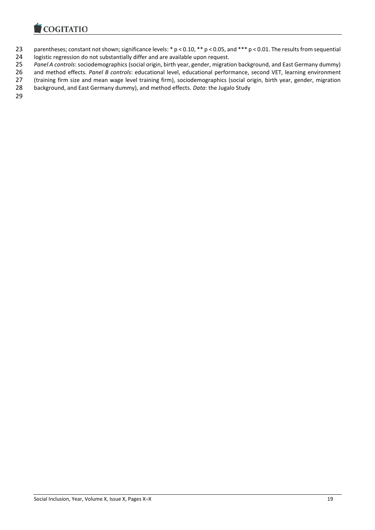

- parentheses; constant not shown; significance levels: \* p < 0.10, \*\* p < 0.05, and \*\*\* p < 0.01. The results from sequential
- logistic regression do not substantially differ and are available upon request.

*Panel A controls*: sociodemographics (social origin, birth year, gender, migration background, and East Germany dummy)

26 and method effects. *Panel B controls*: educational level, educational performance, second VET, learning environment<br>27 (training firm size and mean wage level training firm), sociodemographics (social origin, birth yea

27 (training firm size and mean wage level training firm), sociodemographics (social origin, birth year, gender, migration<br>28 background, and East Germany dummy), and method effects. Data: the Jugalo Study background, and East Germany dummy), and method effects. *Data*: the Jugalo Study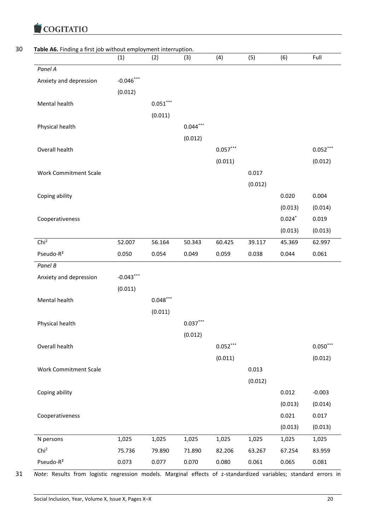|                              | (1)         | (2)        | (3)        | (4)        | (5)     | (6)      | Full       |
|------------------------------|-------------|------------|------------|------------|---------|----------|------------|
| Panel A                      |             |            |            |            |         |          |            |
| Anxiety and depression       | $-0.046***$ |            |            |            |         |          |            |
|                              | (0.012)     |            |            |            |         |          |            |
| Mental health                |             | $0.051***$ |            |            |         |          |            |
|                              |             | (0.011)    |            |            |         |          |            |
| Physical health              |             |            | $0.044***$ |            |         |          |            |
|                              |             |            | (0.012)    |            |         |          |            |
| Overall health               |             |            |            | $0.057***$ |         |          | $0.052***$ |
|                              |             |            |            | (0.011)    |         |          | (0.012)    |
| <b>Work Commitment Scale</b> |             |            |            |            | 0.017   |          |            |
|                              |             |            |            |            | (0.012) |          |            |
| Coping ability               |             |            |            |            |         | 0.020    | 0.004      |
|                              |             |            |            |            |         | (0.013)  | (0.014)    |
| Cooperativeness              |             |            |            |            |         | $0.024*$ | 0.019      |
|                              |             |            |            |            |         | (0.013)  | (0.013)    |
| Chi <sup>2</sup>             | 52.007      | 56.164     | 50.343     | 60.425     | 39.117  | 45.369   | 62.997     |
| Pseudo-R <sup>2</sup>        | 0.050       | 0.054      | 0.049      | 0.059      | 0.038   | 0.044    | 0.061      |
| Panel B                      |             |            |            |            |         |          |            |
| Anxiety and depression       | $-0.043***$ |            |            |            |         |          |            |
|                              | (0.011)     |            |            |            |         |          |            |
| Mental health                |             | $0.048***$ |            |            |         |          |            |
|                              |             | (0.011)    |            |            |         |          |            |
| Physical health              |             |            | $0.037***$ |            |         |          |            |
|                              |             |            | (0.012)    |            |         |          |            |
| Overall health               |             |            |            | $0.052***$ |         |          | $0.050***$ |
|                              |             |            |            | (0.011)    |         |          | (0.012)    |
| <b>Work Commitment Scale</b> |             |            |            |            | 0.013   |          |            |
|                              |             |            |            |            | (0.012) |          |            |
| Coping ability               |             |            |            |            |         | 0.012    | $-0.003$   |
|                              |             |            |            |            |         |          |            |
|                              |             |            |            |            |         | (0.013)  | (0.014)    |
| Cooperativeness              |             |            |            |            |         | 0.021    | 0.017      |
|                              |             |            |            |            |         | (0.013)  | (0.013)    |
| N persons                    | 1,025       | 1,025      | 1,025      | 1,025      | 1,025   | 1,025    | 1,025      |
| Chi <sup>2</sup>             | 75.736      | 79.890     | 71.890     | 82.206     | 63.267  | 67.254   | 83.959     |
| Pseudo-R <sup>2</sup>        | 0.073       | 0.077      | 0.070      | 0.080      | 0.061   | 0.065    | 0.081      |

31 *Note*: Results from logistic regression models. Marginal effects of z-standardized variables; standard errors in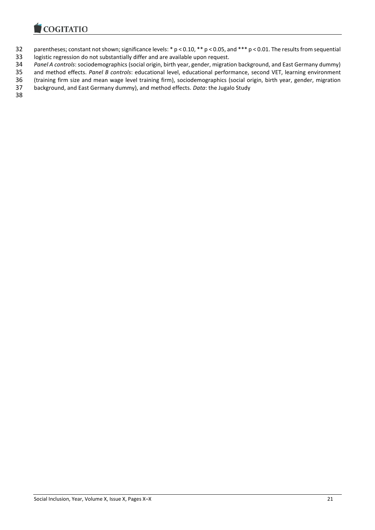

- parentheses; constant not shown; significance levels: \* p < 0.10, \*\* p < 0.05, and \*\*\* p < 0.01. The results from sequential
- logistic regression do not substantially differ and are available upon request.

*Panel A controls*: sociodemographics (social origin, birth year, gender, migration background, and East Germany dummy)

and method effects. *Panel B controls*: educational level, educational performance, second VET, learning environment

36 (training firm size and mean wage level training firm), sociodemographics (social origin, birth year, gender, migration<br>37 background, and East Germany dummy), and method effects. Data: the Jugalo Study background, and East Germany dummy), and method effects. *Data*: the Jugalo Study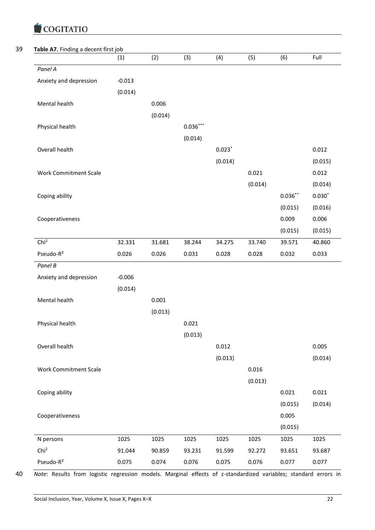|                              | (1)      | (2)     | (3)        | (4)      | (5)     | (6)        | Full     |
|------------------------------|----------|---------|------------|----------|---------|------------|----------|
| Panel A                      |          |         |            |          |         |            |          |
| Anxiety and depression       | $-0.013$ |         |            |          |         |            |          |
|                              | (0.014)  |         |            |          |         |            |          |
| Mental health                |          | 0.006   |            |          |         |            |          |
|                              |          | (0.014) |            |          |         |            |          |
| Physical health              |          |         | $0.036***$ |          |         |            |          |
|                              |          |         | (0.014)    |          |         |            |          |
| Overall health               |          |         |            | $0.023*$ |         |            | 0.012    |
|                              |          |         |            | (0.014)  |         |            | (0.015)  |
| <b>Work Commitment Scale</b> |          |         |            |          | 0.021   |            | 0.012    |
|                              |          |         |            |          | (0.014) |            | (0.014)  |
| Coping ability               |          |         |            |          |         | $0.036***$ | $0.030*$ |
|                              |          |         |            |          |         | (0.015)    | (0.016)  |
| Cooperativeness              |          |         |            |          |         | 0.009      | 0.006    |
|                              |          |         |            |          |         | (0.015)    | (0.015)  |
| Chi <sup>2</sup>             | 32.331   | 31.681  | 38.244     | 34.275   | 33.740  | 39.571     | 40.860   |
| Pseudo-R <sup>2</sup>        | 0.026    | 0.026   | 0.031      | 0.028    | 0.028   | 0.032      | 0.033    |
| Panel B                      |          |         |            |          |         |            |          |
| Anxiety and depression       | $-0.006$ |         |            |          |         |            |          |
|                              | (0.014)  |         |            |          |         |            |          |
| Mental health                |          | 0.001   |            |          |         |            |          |
|                              |          | (0.013) |            |          |         |            |          |
| Physical health              |          |         | 0.021      |          |         |            |          |
|                              |          |         | (0.013)    |          |         |            |          |
| Overall health               |          |         |            | 0.012    |         |            | 0.005    |
|                              |          |         |            | (0.013)  |         |            | (0.014)  |
| <b>Work Commitment Scale</b> |          |         |            |          | 0.016   |            |          |
|                              |          |         |            |          | (0.013) |            |          |
| Coping ability               |          |         |            |          |         | 0.021      | 0.021    |
|                              |          |         |            |          |         | (0.015)    | (0.014)  |
| Cooperativeness              |          |         |            |          |         | 0.005      |          |
|                              |          |         |            |          |         | (0.015)    |          |
| N persons                    | 1025     | 1025    | 1025       | 1025     | 1025    | 1025       | 1025     |
| Chi <sup>2</sup>             | 91.044   | 90.859  | 93.231     | 91.599   | 92.272  | 93.651     | 93.687   |
|                              |          |         |            |          |         |            |          |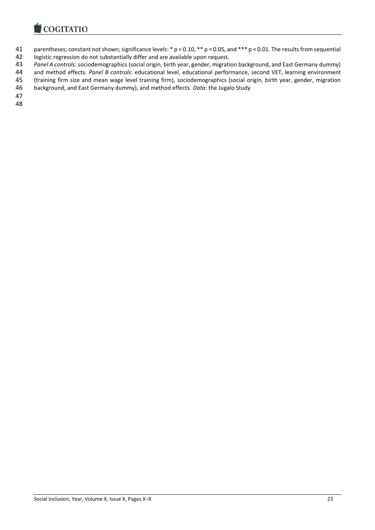

- parentheses; constant not shown; significance levels: \* p < 0.10, \*\* p < 0.05, and \*\*\* p < 0.01. The results from sequential
- logistic regression do not substantially differ and are available upon request.

*Panel A controls*: sociodemographics (social origin, birth year, gender, migration background, and East Germany dummy)

44 and method effects. *Panel B controls*: educational level, educational performance, second VET, learning environment<br>45 (training firm size and mean wage level training firm), sociodemographics (social origin, birth yea

(training firm size and mean wage level training firm), sociodemographics (social origin, birth year, gender, migration

background, and East Germany dummy), and method effects. *Data*: the Jugalo Study